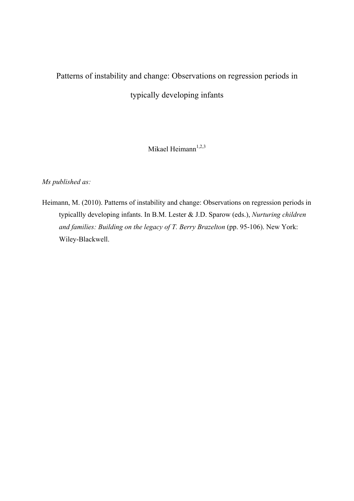# Patterns of instability and change: Observations on regression periods in typically developing infants

Mikael Heimann<sup>1,2,3</sup>

*Ms published as:*

Heimann, M. (2010). Patterns of instability and change: Observations on regression periods in typicallly developing infants. In B.M. Lester & J.D. Sparow (eds.), *Nurturing children and families: Building on the legacy of T. Berry Brazelton* (pp. 95-106). New York: Wiley-Blackwell.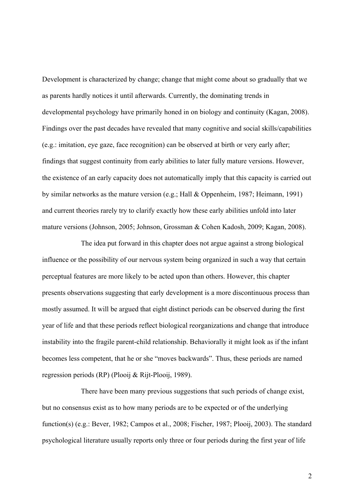Development is characterized by change; change that might come about so gradually that we as parents hardly notices it until afterwards. Currently, the dominating trends in developmental psychology have primarily honed in on biology and continuity (Kagan, 2008). Findings over the past decades have revealed that many cognitive and social skills/capabilities (e.g.: imitation, eye gaze, face recognition) can be observed at birth or very early after; findings that suggest continuity from early abilities to later fully mature versions. However, the existence of an early capacity does not automatically imply that this capacity is carried out by similar networks as the mature version (e.g.; Hall & Oppenheim, 1987; Heimann, 1991) and current theories rarely try to clarify exactly how these early abilities unfold into later mature versions (Johnson, 2005; Johnson, Grossman & Cohen Kadosh, 2009; Kagan, 2008).

The idea put forward in this chapter does not argue against a strong biological influence or the possibility of our nervous system being organized in such a way that certain perceptual features are more likely to be acted upon than others. However, this chapter presents observations suggesting that early development is a more discontinuous process than mostly assumed. It will be argued that eight distinct periods can be observed during the first year of life and that these periods reflect biological reorganizations and change that introduce instability into the fragile parent-child relationship. Behaviorally it might look as if the infant becomes less competent, that he or she "moves backwards". Thus, these periods are named regression periods (RP) (Plooij & Rijt-Plooij, 1989).

There have been many previous suggestions that such periods of change exist, but no consensus exist as to how many periods are to be expected or of the underlying function(s) (e.g.: Bever, 1982; Campos et al., 2008; Fischer, 1987; Plooij, 2003). The standard psychological literature usually reports only three or four periods during the first year of life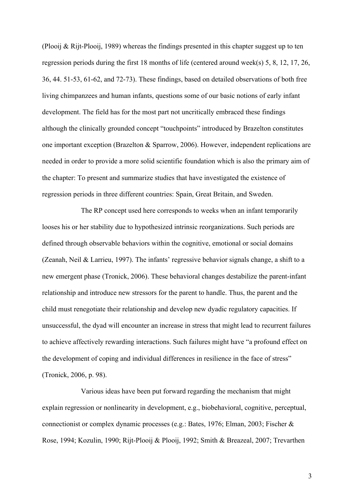(Plooij & Rijt-Plooij, 1989) whereas the findings presented in this chapter suggest up to ten regression periods during the first 18 months of life (centered around week(s) 5, 8, 12, 17, 26, 36, 44. 51-53, 61-62, and 72-73). These findings, based on detailed observations of both free living chimpanzees and human infants, questions some of our basic notions of early infant development. The field has for the most part not uncritically embraced these findings although the clinically grounded concept "touchpoints" introduced by Brazelton constitutes one important exception (Brazelton & Sparrow, 2006). However, independent replications are needed in order to provide a more solid scientific foundation which is also the primary aim of the chapter: To present and summarize studies that have investigated the existence of regression periods in three different countries: Spain, Great Britain, and Sweden.

The RP concept used here corresponds to weeks when an infant temporarily looses his or her stability due to hypothesized intrinsic reorganizations. Such periods are defined through observable behaviors within the cognitive, emotional or social domains (Zeanah, Neil & Larrieu, 1997). The infants' regressive behavior signals change, a shift to a new emergent phase (Tronick, 2006). These behavioral changes destabilize the parent-infant relationship and introduce new stressors for the parent to handle. Thus, the parent and the child must renegotiate their relationship and develop new dyadic regulatory capacities. If unsuccessful, the dyad will encounter an increase in stress that might lead to recurrent failures to achieve affectively rewarding interactions. Such failures might have "a profound effect on the development of coping and individual differences in resilience in the face of stress" (Tronick, 2006, p. 98).

Various ideas have been put forward regarding the mechanism that might explain regression or nonlinearity in development, e.g., biobehavioral, cognitive, perceptual, connectionist or complex dynamic processes (e.g.: Bates, 1976; Elman, 2003; Fischer & Rose, 1994; Kozulin, 1990; Rijt-Plooij & Plooij, 1992; Smith & Breazeal, 2007; Trevarthen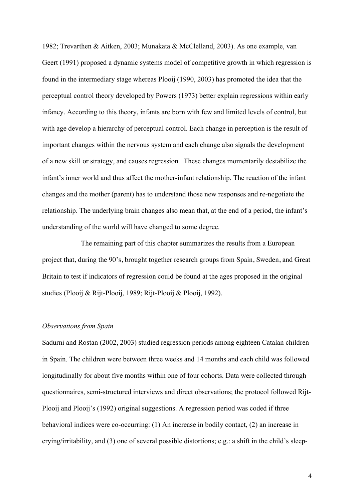1982; Trevarthen & Aitken, 2003; Munakata & McClelland, 2003). As one example, van Geert (1991) proposed a dynamic systems model of competitive growth in which regression is found in the intermediary stage whereas Plooij (1990, 2003) has promoted the idea that the perceptual control theory developed by Powers (1973) better explain regressions within early infancy. According to this theory, infants are born with few and limited levels of control, but with age develop a hierarchy of perceptual control. Each change in perception is the result of important changes within the nervous system and each change also signals the development of a new skill or strategy, and causes regression. These changes momentarily destabilize the infant's inner world and thus affect the mother-infant relationship. The reaction of the infant changes and the mother (parent) has to understand those new responses and re-negotiate the relationship. The underlying brain changes also mean that, at the end of a period, the infant's understanding of the world will have changed to some degree.

The remaining part of this chapter summarizes the results from a European project that, during the 90's, brought together research groups from Spain, Sweden, and Great Britain to test if indicators of regression could be found at the ages proposed in the original studies (Plooij & Rijt-Plooij, 1989; Rijt-Plooij & Plooij, 1992).

## *Observations from Spain*

Sadurni and Rostan (2002, 2003) studied regression periods among eighteen Catalan children in Spain. The children were between three weeks and 14 months and each child was followed longitudinally for about five months within one of four cohorts. Data were collected through questionnaires, semi-structured interviews and direct observations; the protocol followed Rijt-Plooij and Plooij's (1992) original suggestions. A regression period was coded if three behavioral indices were co-occurring: (1) An increase in bodily contact, (2) an increase in crying/irritability, and (3) one of several possible distortions; e.g.: a shift in the child's sleep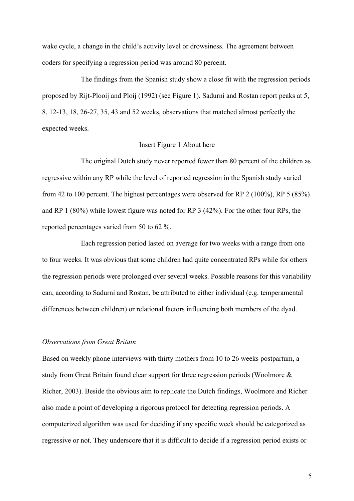wake cycle, a change in the child's activity level or drowsiness. The agreement between coders for specifying a regression period was around 80 percent.

The findings from the Spanish study show a close fit with the regression periods proposed by Rijt-Plooij and Ploij (1992) (see Figure 1). Sadurni and Rostan report peaks at 5, 8, 12-13, 18, 26-27, 35, 43 and 52 weeks, observations that matched almost perfectly the expected weeks.

### Insert Figure 1 About here

The original Dutch study never reported fewer than 80 percent of the children as regressive within any RP while the level of reported regression in the Spanish study varied from 42 to 100 percent. The highest percentages were observed for RP 2 (100%), RP 5 (85%) and RP 1 (80%) while lowest figure was noted for RP 3 (42%). For the other four RPs, the reported percentages varied from 50 to 62 %.

Each regression period lasted on average for two weeks with a range from one to four weeks. It was obvious that some children had quite concentrated RPs while for others the regression periods were prolonged over several weeks. Possible reasons for this variability can, according to Sadurni and Rostan, be attributed to either individual (e.g. temperamental differences between children) or relational factors influencing both members of the dyad.

#### *Observations from Great Britain*

Based on weekly phone interviews with thirty mothers from 10 to 26 weeks postpartum, a study from Great Britain found clear support for three regression periods (Woolmore & Richer, 2003). Beside the obvious aim to replicate the Dutch findings, Woolmore and Richer also made a point of developing a rigorous protocol for detecting regression periods. A computerized algorithm was used for deciding if any specific week should be categorized as regressive or not. They underscore that it is difficult to decide if a regression period exists or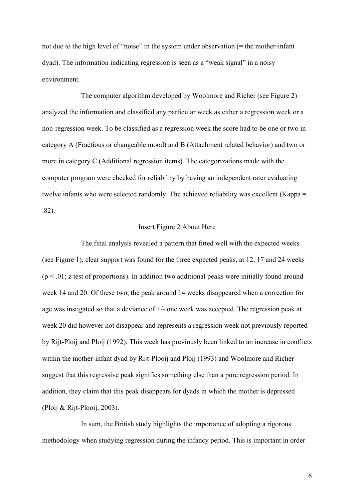not due to the high level of "noise" in the system under observation (= the mother-infant dyad). The information indicating regression is seen as a "weak signal" in a noisy environment.

The computer algorithm developed by Woolmore and Richer (see Figure 2) analyzed the information and classified any particular week as either a regression week or a non-regression week. To be classified as a regression week the score had to be one or two in category A (Fractious or changeable mood) and B (Attachment related behavior) and two or more in category C (Additional regression items). The categorizations made with the computer program were checked for reliability by having an independent rater evaluating twelve infants who were selected randomly. The achieved reliability was excellent (Kappa = .82).

### Insert Figure 2 About Here

The final analysis revealed a pattern that fitted well with the expected weeks (see Figure 1), clear support was found for the three expected peaks, at 12, 17 and 24 weeks  $(p < 0.01$ ; z test of proportions). In addition two additional peaks were initially found around week 14 and 20. Of these two, the peak around 14 weeks disappeared when a correction for age was instigated so that a deviance of +/- one week was accepted. The regression peak at week 20 did however not disappear and represents a regression week not previously reported by Rijt-Ploij and Ploij (1992). This week has previously been linked to an increase in conflicts within the mother-infant dyad by Rijt-Plooij and Ploij (1993) and Woolmore and Richer suggest that this regressive peak signifies something else than a pure regression period. In addition, they claim that this peak disappears for dyads in which the mother is depressed (Ploij & Rijt-Plooij, 2003).

In sum, the British study highlights the importance of adopting a rigorous methodology when studying regression during the infancy period. This is important in order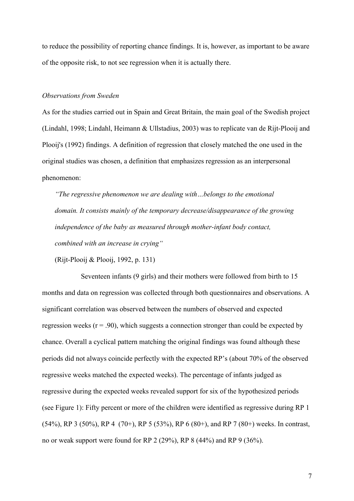to reduce the possibility of reporting chance findings. It is, however, as important to be aware of the opposite risk, to not see regression when it is actually there.

## *Observations from Sweden*

As for the studies carried out in Spain and Great Britain, the main goal of the Swedish project (Lindahl, 1998; Lindahl, Heimann & Ullstadius, 2003) was to replicate van de Rijt-Plooij and Plooij's (1992) findings. A definition of regression that closely matched the one used in the original studies was chosen, a definition that emphasizes regression as an interpersonal phenomenon:

*"The regressive phenomenon we are dealing with…belongs to the emotional domain. It consists mainly of the temporary decrease/disappearance of the growing independence of the baby as measured through mother-infant body contact, combined with an increase in crying"*

(Rijt-Plooij & Plooij, 1992, p. 131)

Seventeen infants (9 girls) and their mothers were followed from birth to 15 months and data on regression was collected through both questionnaires and observations. A significant correlation was observed between the numbers of observed and expected regression weeks  $(r = .90)$ , which suggests a connection stronger than could be expected by chance. Overall a cyclical pattern matching the original findings was found although these periods did not always coincide perfectly with the expected RP's (about 70% of the observed regressive weeks matched the expected weeks). The percentage of infants judged as regressive during the expected weeks revealed support for six of the hypothesized periods (see Figure 1): Fifty percent or more of the children were identified as regressive during RP 1 (54%), RP 3 (50%), RP 4 (70+), RP 5 (53%), RP 6 (80+), and RP 7 (80+) weeks. In contrast, no or weak support were found for RP 2 (29%), RP 8 (44%) and RP 9 (36%).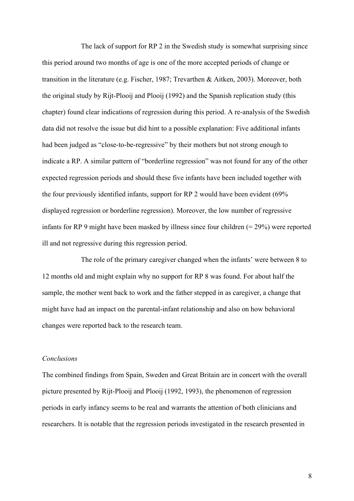The lack of support for RP 2 in the Swedish study is somewhat surprising since this period around two months of age is one of the more accepted periods of change or transition in the literature (e.g. Fischer, 1987; Trevarthen & Aitken, 2003). Moreover, both the original study by Rijt-Plooij and Plooij (1992) and the Spanish replication study (this chapter) found clear indications of regression during this period. A re-analysis of the Swedish data did not resolve the issue but did hint to a possible explanation: Five additional infants had been judged as "close-to-be-regressive" by their mothers but not strong enough to indicate a RP. A similar pattern of "borderline regression" was not found for any of the other expected regression periods and should these five infants have been included together with the four previously identified infants, support for RP 2 would have been evident (69% displayed regression or borderline regression). Moreover, the low number of regressive infants for RP 9 might have been masked by illness since four children  $(= 29\%)$  were reported ill and not regressive during this regression period.

The role of the primary caregiver changed when the infants' were between 8 to 12 months old and might explain why no support for RP 8 was found. For about half the sample, the mother went back to work and the father stepped in as caregiver, a change that might have had an impact on the parental-infant relationship and also on how behavioral changes were reported back to the research team.

## *Conclusions*

The combined findings from Spain, Sweden and Great Britain are in concert with the overall picture presented by Rijt-Plooij and Plooij (1992, 1993), the phenomenon of regression periods in early infancy seems to be real and warrants the attention of both clinicians and researchers. It is notable that the regression periods investigated in the research presented in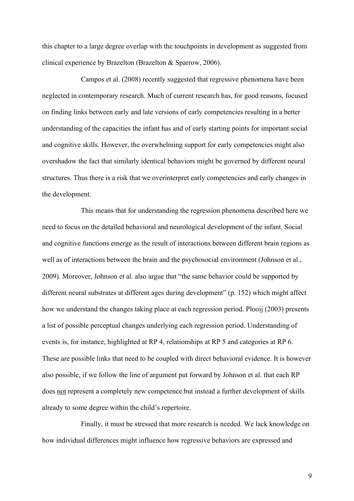this chapter to a large degree overlap with the touchpoints in development as suggested from clinical experience by Brazelton (Brazelton & Sparrow, 2006).

Campos et al. (2008) recently suggested that regressive phenomena have been neglected in contemporary research. Much of current research has, for good reasons, focused on finding links between early and late versions of early competencies resulting in a better understanding of the capacities the infant has and of early starting points for important social and cognitive skills. However, the overwhelming support for early competencies might also overshadow the fact that similarly identical behaviors might be governed by different neural structures. Thus there is a risk that we overinterpret early competencies and early changes in the development.

This means that for understanding the regression phenomena described here we need to focus on the detailed behavioral and neurological development of the infant. Social and cognitive functions emerge as the result of interactions between different brain regions as well as of interactions between the brain and the psychosocial environment (Johnson et al., 2009). Moreover, Johnson et al. also argue that "the same behavior could be supported by different neural substrates at different ages during development" (p. 152) which might affect how we understand the changes taking place at each regression period. Plooij (2003) presents a list of possible perceptual changes underlying each regression period. Understanding of events is, for instance, highlighted at RP 4, relationships at RP 5 and categories at RP 6. These are possible links that need to be coupled with direct behavioral evidence. It is however also possible, if we follow the line of argument put forward by Johnson et al. that each RP does not represent a completely new competence but instead a further development of skills already to some degree within the child's repertoire.

Finally, it must be stressed that more research is needed. We lack knowledge on how individual differences might influence how regressive behaviors are expressed and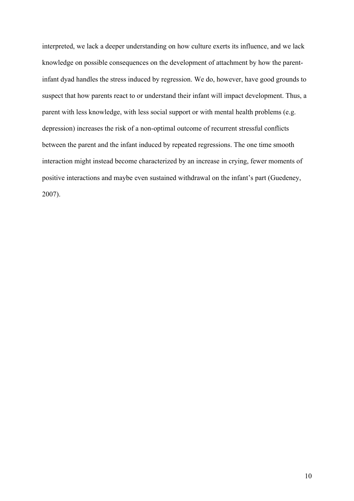interpreted, we lack a deeper understanding on how culture exerts its influence, and we lack knowledge on possible consequences on the development of attachment by how the parentinfant dyad handles the stress induced by regression. We do, however, have good grounds to suspect that how parents react to or understand their infant will impact development. Thus, a parent with less knowledge, with less social support or with mental health problems (e.g. depression) increases the risk of a non-optimal outcome of recurrent stressful conflicts between the parent and the infant induced by repeated regressions. The one time smooth interaction might instead become characterized by an increase in crying, fewer moments of positive interactions and maybe even sustained withdrawal on the infant's part (Guedeney, 2007).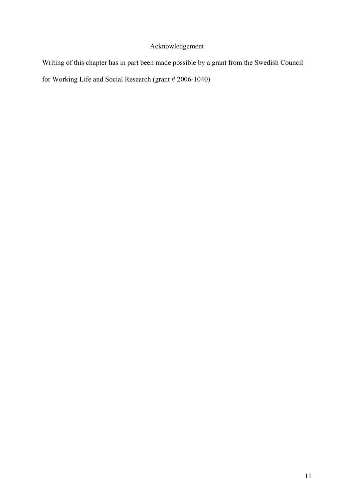# Acknowledgement

Writing of this chapter has in part been made possible by a grant from the Swedish Council

for Working Life and Social Research (grant # 2006-1040)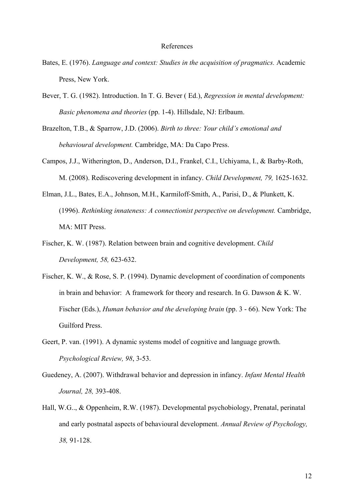#### References

- Bates, E. (1976). *Language and context: Studies in the acquisition of pragmatics.* Academic Press, New York.
- Bever, T. G. (1982). Introduction. In T. G. Bever ( Ed.), *Regression in mental development: Basic phenomena and theories* (pp. 1-4). Hillsdale, NJ: Erlbaum.
- Brazelton, T.B., & Sparrow, J.D. (2006). *Birth to three: Your child's emotional and behavioural development.* Cambridge, MA: Da Capo Press.
- Campos, J.J., Witherington, D., Anderson, D.I., Frankel, C.I., Uchiyama, I., & Barby-Roth, M. (2008). Rediscovering development in infancy. *Child Development, 79,* 1625-1632.
- Elman, J.L., Bates, E.A., Johnson, M.H., Karmiloff-Smith, A., Parisi, D., & Plunkett, K. (1996). *Rethinking innateness: A connectionist perspective on development.* Cambridge, MA: MIT Press.
- Fischer, K. W. (1987). Relation between brain and cognitive development. *Child Development, 58,* 623-632.
- Fischer, K. W., & Rose, S. P. (1994). Dynamic development of coordination of components in brain and behavior: A framework for theory and research. In G. Dawson & K. W. Fischer (Eds.), *Human behavior and the developing brain* (pp. 3 - 66). New York: The Guilford Press.
- Geert, P. van. (1991). A dynamic systems model of cognitive and language growth. *Psychological Review, 98*, 3-53.
- Guedeney, A. (2007). Withdrawal behavior and depression in infancy. *Infant Mental Health Journal, 28,* 393-408.
- Hall, W.G.., & Oppenheim, R.W. (1987). Developmental psychobiology, Prenatal, perinatal and early postnatal aspects of behavioural development. *Annual Review of Psychology, 38,* 91-128.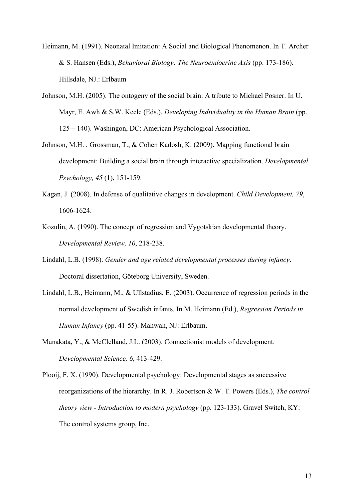- Heimann, M. (1991). Neonatal Imitation: A Social and Biological Phenomenon. In T. Archer & S. Hansen (Eds.), *Behavioral Biology: The Neuroendocrine Axis* (pp. 173-186). Hillsdale, NJ.: Erlbaum
- Johnson, M.H. (2005). The ontogeny of the social brain: A tribute to Michael Posner. In U. Mayr, E. Awh & S.W. Keele (Eds.), *Developing Individuality in the Human Brain* (pp. 125 – 140). Washingon, DC: American Psychological Association.
- Johnson, M.H. , Grossman, T., & Cohen Kadosh, K. (2009). Mapping functional brain development: Building a social brain through interactive specialization. *Developmental Psychology, 45* (1), 151-159.
- Kagan, J. (2008). In defense of qualitative changes in development. *Child Development, 79*, 1606-1624.
- Kozulin, A. (1990). The concept of regression and Vygotskian developmental theory. *Developmental Review, 10*, 218-238.
- Lindahl, L.B. (1998). *Gender and age related developmental processes during infancy*. Doctoral dissertation, Göteborg University, Sweden.
- Lindahl, L.B., Heimann, M., & Ullstadius, E. (2003). Occurrence of regression periods in the normal development of Swedish infants. In M. Heimann (Ed.), *Regression Periods in Human Infancy* (pp. 41-55). Mahwah, NJ: Erlbaum.
- Munakata, Y., & McClelland, J.L. (2003). Connectionist models of development. *Developmental Science, 6*, 413-429.
- Plooij, F. X. (1990). Developmental psychology: Developmental stages as successive reorganizations of the hierarchy. In R. J. Robertson & W. T. Powers (Eds.), *The control theory view - Introduction to modern psychology* (pp. 123-133). Gravel Switch, KY: The control systems group, Inc.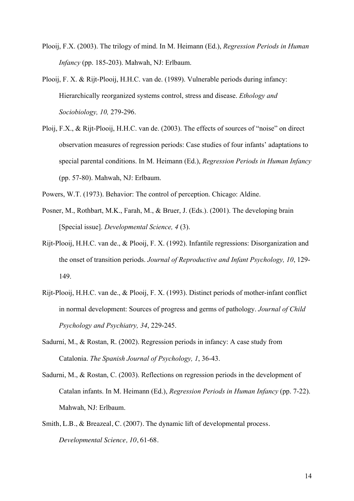- Plooij, F.X. (2003). The trilogy of mind. In M. Heimann (Ed.), *Regression Periods in Human Infancy* (pp. 185-203). Mahwah, NJ: Erlbaum.
- Plooij, F. X. & Rijt-Plooij, H.H.C. van de. (1989). Vulnerable periods during infancy: Hierarchically reorganized systems control, stress and disease. *Ethology and Sociobiology, 10,* 279-296.
- Ploij, F.X., & Rijt-Plooij, H.H.C. van de. (2003). The effects of sources of "noise" on direct observation measures of regression periods: Case studies of four infants' adaptations to special parental conditions. In M. Heimann (Ed.), *Regression Periods in Human Infancy* (pp. 57-80). Mahwah, NJ: Erlbaum.
- Powers, W.T. (1973). Behavior: The control of perception. Chicago: Aldine.
- Posner, M., Rothbart, M.K., Farah, M., & Bruer, J. (Eds.). (2001). The developing brain [Special issue]. *Developmental Science, 4* (3).
- Rijt-Plooij, H.H.C. van de., & Plooij, F. X. (1992). Infantile regressions: Disorganization and the onset of transition periods. *Journal of Reproductive and Infant Psychology, 10*, 129- 149.
- Rijt-Plooij, H.H.C. van de., & Plooij, F. X. (1993). Distinct periods of mother-infant conflict in normal development: Sources of progress and germs of pathology. *Journal of Child Psychology and Psychiatry, 34*, 229-245.
- Sadurní, M., & Rostan, R. (2002). Regression periods in infancy: A case study from Catalonia. *The Spanish Journal of Psychology, 1*, 36-43.
- Sadurni, M., & Rostan, C. (2003). Reflections on regression periods in the development of Catalan infants. In M. Heimann (Ed.), *Regression Periods in Human Infancy* (pp. 7-22). Mahwah, NJ: Erlbaum.
- Smith, L.B., & Breazeal, C. (2007). The dynamic lift of developmental process. *Developmental Science, 10*, 61-68.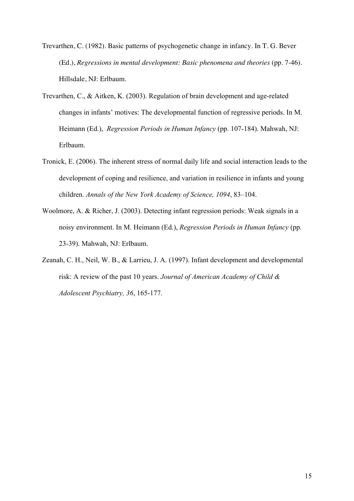Trevarthen, C. (1982). Basic patterns of psychogenetic change in infancy. In T. G. Bever (Ed.), *Regressions in mental development: Basic phenomena and theories* (pp. 7-46). Hillsdale, NJ: Erlbaum.

- Trevarthen, C., & Aitken, K. (2003). Regulation of brain development and age-related changes in infants' motives: The developmental function of regressive periods. In M. Heimann (Ed.), *Regression Periods in Human Infancy* (pp. 107-184). Mahwah, NJ: Erlbaum.
- Tronick, E. (2006). The inherent stress of normal daily life and social interaction leads to the development of coping and resilience, and variation in resilience in infants and young children. *Annals of the New York Academy of Science, 1094*, 83–104.
- Woolmore, A. & Richer, J. (2003). Detecting infant regression periods: Weak signals in a noisy environment. In M. Heimann (Ed.), *Regression Periods in Human Infancy* (pp. 23-39). Mahwah, NJ: Erlbaum.
- Zeanah, C. H., Neil, W. B., & Larrieu, J. A. (1997). Infant development and developmental risk: A review of the past 10 years. *Journal of American Academy of Child & Adolescent Psychiatry, 36*, 165-177.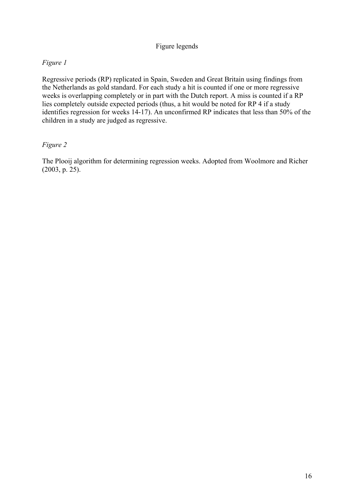# Figure legends

# *Figure 1*

Regressive periods (RP) replicated in Spain, Sweden and Great Britain using findings from the Netherlands as gold standard. For each study a hit is counted if one or more regressive weeks is overlapping completely or in part with the Dutch report. A miss is counted if a RP lies completely outside expected periods (thus, a hit would be noted for RP 4 if a study identifies regression for weeks 14-17). An unconfirmed RP indicates that less than 50% of the children in a study are judged as regressive.

## *Figure 2*

The Plooij algorithm for determining regression weeks. Adopted from Woolmore and Richer (2003, p. 25).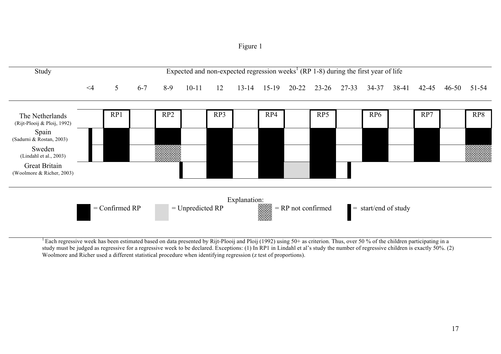Figure 1



<sup>1</sup> Each regressive week has been estimated based on data presented by Rijt-Plooij and Ploij (1992) using 50+ as criterion. Thus, over 50 % of the children participating in a study must be judged as regressive for a regressive week to be declared. Exceptions: (1) In RP1 in Lindahl et al's study the number of regressive children is exactly 50%. (2) Woolmore and Richer used a different statistical procedure when identifying regression (z test of proportions).